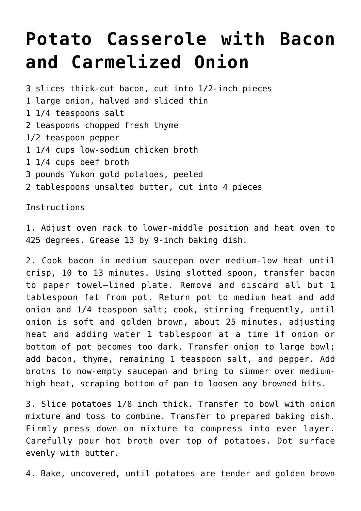## **[Potato Casserole with Bacon](https://lincon.com/site/potato-casserole-with-bacon-and-carmelized-onion-untested-dave-wants-to-try-americas-test-kitchen/) [and Carmelized Onion](https://lincon.com/site/potato-casserole-with-bacon-and-carmelized-onion-untested-dave-wants-to-try-americas-test-kitchen/)**

3 slices thick-cut bacon, cut into 1/2-inch pieces 1 large onion, halved and sliced thin 1 1/4 teaspoons salt 2 teaspoons chopped fresh thyme 1/2 teaspoon pepper 1 1/4 cups low-sodium chicken broth 1 1/4 cups beef broth 3 pounds Yukon gold potatoes, peeled 2 tablespoons unsalted butter, cut into 4 pieces

Instructions

1. Adjust oven rack to lower-middle position and heat oven to 425 degrees. Grease 13 by 9-inch baking dish.

2. Cook bacon in medium saucepan over medium-low heat until crisp, 10 to 13 minutes. Using slotted spoon, transfer bacon to paper towel–lined plate. Remove and discard all but 1 tablespoon fat from pot. Return pot to medium heat and add onion and 1/4 teaspoon salt; cook, stirring frequently, until onion is soft and golden brown, about 25 minutes, adjusting heat and adding water 1 tablespoon at a time if onion or bottom of pot becomes too dark. Transfer onion to large bowl; add bacon, thyme, remaining 1 teaspoon salt, and pepper. Add broths to now-empty saucepan and bring to simmer over mediumhigh heat, scraping bottom of pan to loosen any browned bits.

3. Slice potatoes 1/8 inch thick. Transfer to bowl with onion mixture and toss to combine. Transfer to prepared baking dish. Firmly press down on mixture to compress into even layer. Carefully pour hot broth over top of potatoes. Dot surface evenly with butter.

4. Bake, uncovered, until potatoes are tender and golden brown